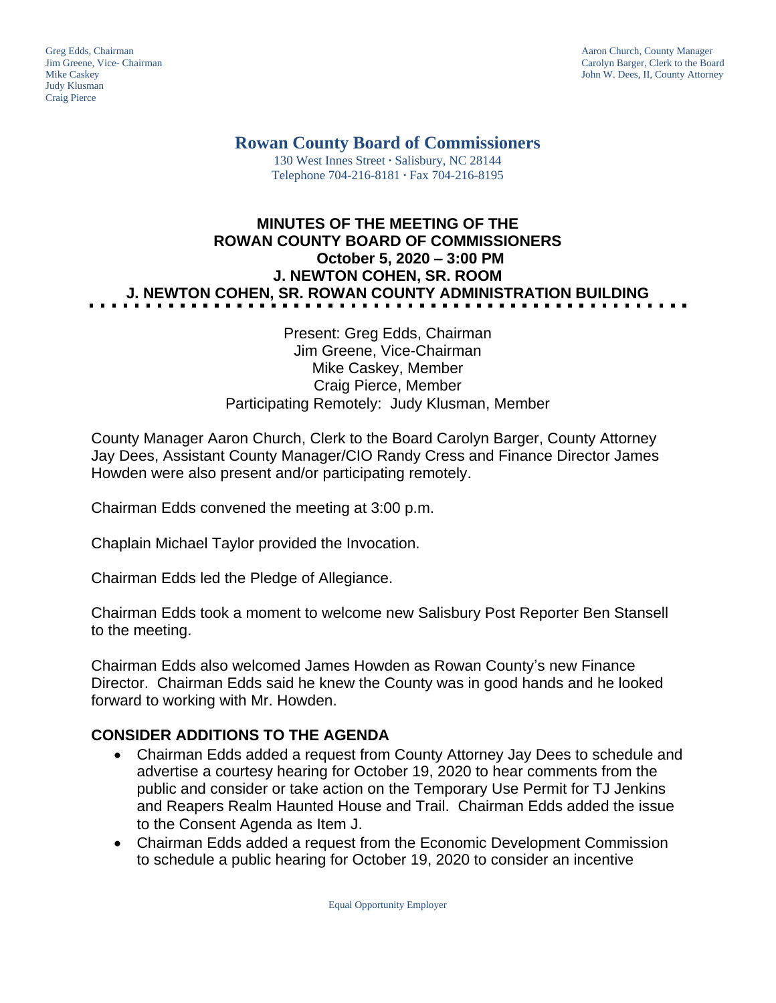Judy Klusman Craig Pierce

Greg Edds, Chairman Aaron Church, County Manager<br>
1989 - Garolyn Barger, Clerk to the Boa<br>
Carolyn Barger, Clerk to the Boa Jim Greene, Vice- Chairman Carolyn Barger, Clerk to the Board John W. Dees, II, County Attorney

**Rowan County Board of Commissioners**

130 West Innes Street **∙** Salisbury, NC 28144 Telephone 704-216-8181 **∙** Fax 704-216-8195

# **MINUTES OF THE MEETING OF THE ROWAN COUNTY BOARD OF COMMISSIONERS October 5, 2020 – 3:00 PM J. NEWTON COHEN, SR. ROOM J. NEWTON COHEN, SR. ROWAN COUNTY ADMINISTRATION BUILDING**

### Present: Greg Edds, Chairman Jim Greene, Vice-Chairman Mike Caskey, Member Craig Pierce, Member Participating Remotely: Judy Klusman, Member

County Manager Aaron Church, Clerk to the Board Carolyn Barger, County Attorney Jay Dees, Assistant County Manager/CIO Randy Cress and Finance Director James Howden were also present and/or participating remotely.

Chairman Edds convened the meeting at 3:00 p.m.

Chaplain Michael Taylor provided the Invocation.

Chairman Edds led the Pledge of Allegiance.

Chairman Edds took a moment to welcome new Salisbury Post Reporter Ben Stansell to the meeting.

Chairman Edds also welcomed James Howden as Rowan County's new Finance Director. Chairman Edds said he knew the County was in good hands and he looked forward to working with Mr. Howden.

## **CONSIDER ADDITIONS TO THE AGENDA**

- Chairman Edds added a request from County Attorney Jay Dees to schedule and advertise a courtesy hearing for October 19, 2020 to hear comments from the public and consider or take action on the Temporary Use Permit for TJ Jenkins and Reapers Realm Haunted House and Trail. Chairman Edds added the issue to the Consent Agenda as Item J.
- Chairman Edds added a request from the Economic Development Commission to schedule a public hearing for October 19, 2020 to consider an incentive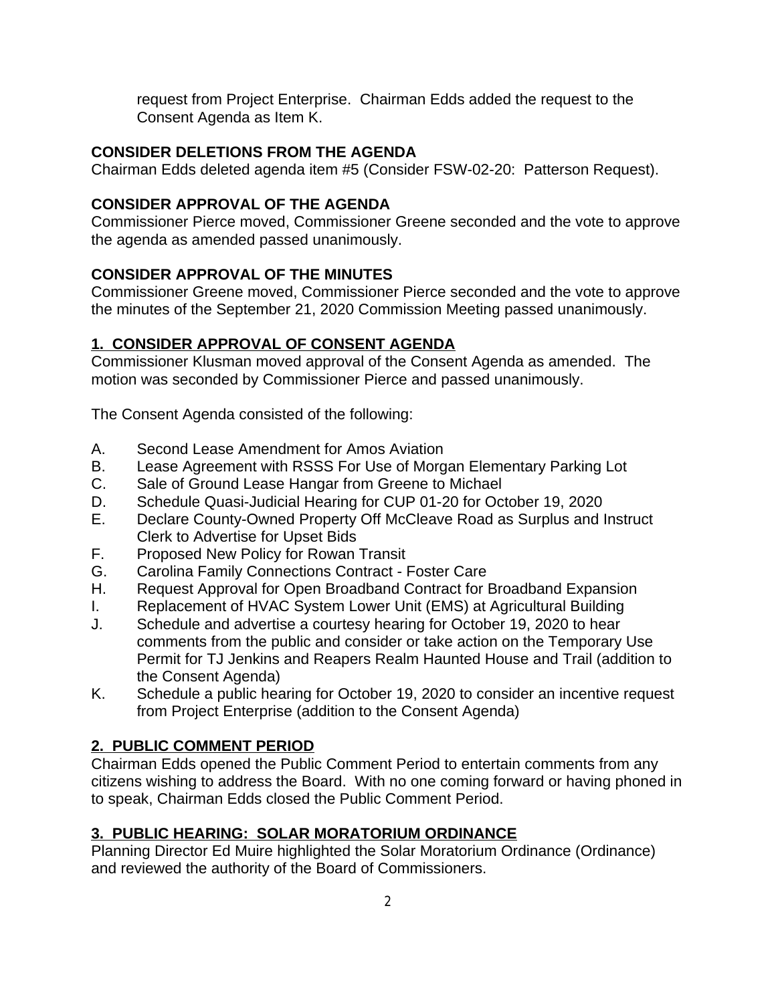request from Project Enterprise. Chairman Edds added the request to the Consent Agenda as Item K.

# **CONSIDER DELETIONS FROM THE AGENDA**

Chairman Edds deleted agenda item #5 (Consider FSW-02-20: Patterson Request).

# **CONSIDER APPROVAL OF THE AGENDA**

Commissioner Pierce moved, Commissioner Greene seconded and the vote to approve the agenda as amended passed unanimously.

# **CONSIDER APPROVAL OF THE MINUTES**

Commissioner Greene moved, Commissioner Pierce seconded and the vote to approve the minutes of the September 21, 2020 Commission Meeting passed unanimously.

# **1. CONSIDER APPROVAL OF CONSENT AGENDA**

Commissioner Klusman moved approval of the Consent Agenda as amended. The motion was seconded by Commissioner Pierce and passed unanimously.

The Consent Agenda consisted of the following:

- A. Second Lease Amendment for Amos Aviation
- B. Lease Agreement with RSSS For Use of Morgan Elementary Parking Lot
- C. Sale of Ground Lease Hangar from Greene to Michael
- D. Schedule Quasi-Judicial Hearing for CUP 01-20 for October 19, 2020
- E. Declare County-Owned Property Off McCleave Road as Surplus and Instruct Clerk to Advertise for Upset Bids
- F. Proposed New Policy for Rowan Transit
- G. Carolina Family Connections Contract Foster Care
- H. Request Approval for Open Broadband Contract for Broadband Expansion
- I. Replacement of HVAC System Lower Unit (EMS) at Agricultural Building
- J. Schedule and advertise a courtesy hearing for October 19, 2020 to hear comments from the public and consider or take action on the Temporary Use Permit for TJ Jenkins and Reapers Realm Haunted House and Trail (addition to the Consent Agenda)
- K. Schedule a public hearing for October 19, 2020 to consider an incentive request from Project Enterprise (addition to the Consent Agenda)

# **2. PUBLIC COMMENT PERIOD**

Chairman Edds opened the Public Comment Period to entertain comments from any citizens wishing to address the Board. With no one coming forward or having phoned in to speak, Chairman Edds closed the Public Comment Period.

# **3. PUBLIC HEARING: SOLAR MORATORIUM ORDINANCE**

Planning Director Ed Muire highlighted the Solar Moratorium Ordinance (Ordinance) and reviewed the authority of the Board of Commissioners.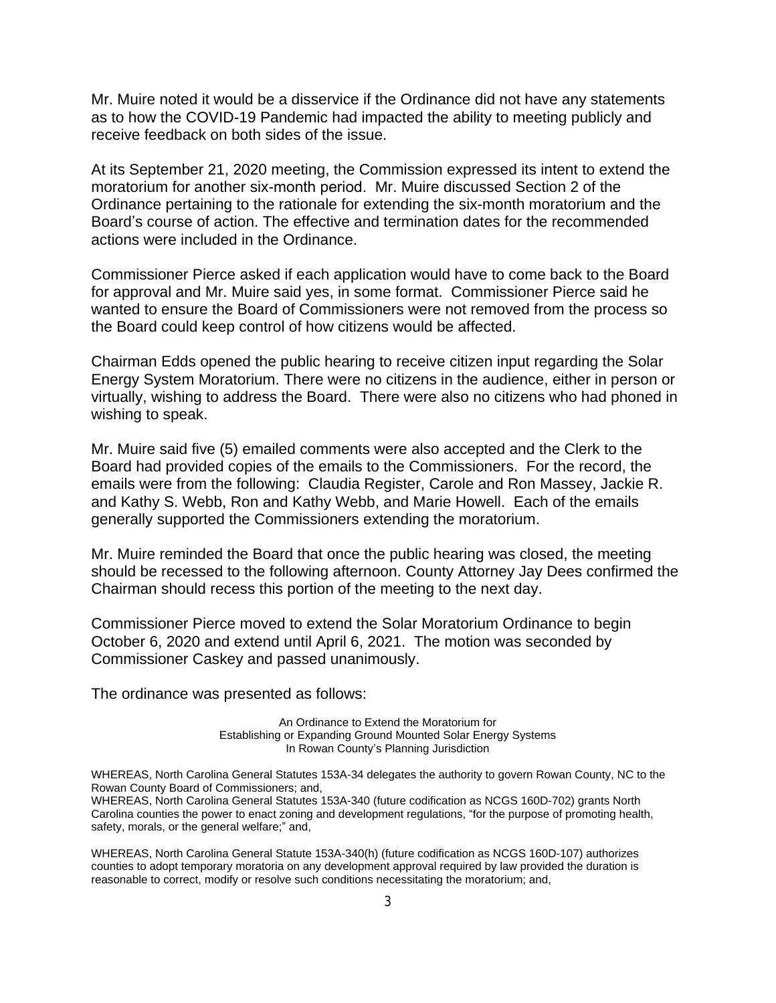Mr. Muire noted it would be a disservice if the Ordinance did not have any statements as to how the COVID-19 Pandemic had impacted the ability to meeting publicly and receive feedback on both sides of the issue.

At its September 21, 2020 meeting, the Commission expressed its intent to extend the moratorium for another six-month period. Mr. Muire discussed Section 2 of the Ordinance pertaining to the rationale for extending the six-month moratorium and the Board's course of action. The effective and termination dates for the recommended actions were included in the Ordinance.

Commissioner Pierce asked if each application would have to come back to the Board for approval and Mr. Muire said yes, in some format. Commissioner Pierce said he wanted to ensure the Board of Commissioners were not removed from the process so the Board could keep control of how citizens would be affected.

Chairman Edds opened the public hearing to receive citizen input regarding the Solar Energy System Moratorium. There were no citizens in the audience, either in person or virtually, wishing to address the Board. There were also no citizens who had phoned in wishing to speak.

Mr. Muire said five (5) emailed comments were also accepted and the Clerk to the Board had provided copies of the emails to the Commissioners. For the record, the emails were from the following: Claudia Register, Carole and Ron Massey, Jackie R. and Kathy S. Webb, Ron and Kathy Webb, and Marie Howell. Each of the emails generally supported the Commissioners extending the moratorium.

Mr. Muire reminded the Board that once the public hearing was closed, the meeting should be recessed to the following afternoon. County Attorney Jay Dees confirmed the Chairman should recess this portion of the meeting to the next day.

Commissioner Pierce moved to extend the Solar Moratorium Ordinance to begin October 6, 2020 and extend until April 6, 2021. The motion was seconded by Commissioner Caskey and passed unanimously.

The ordinance was presented as follows:

An Ordinance to Extend the Moratorium for Establishing or Expanding Ground Mounted Solar Energy Systems In Rowan County's Planning Jurisdiction

WHEREAS, North Carolina General Statutes 153A-34 delegates the authority to govern Rowan County, NC to the Rowan County Board of Commissioners; and,

WHEREAS, North Carolina General Statutes 153A-340 (future codification as NCGS 160D-702) grants North Carolina counties the power to enact zoning and development regulations, "for the purpose of promoting health, safety, morals, or the general welfare;" and,

WHEREAS, North Carolina General Statute 153A-340(h) (future codification as NCGS 160D-107) authorizes counties to adopt temporary moratoria on any development approval required by law provided the duration is reasonable to correct, modify or resolve such conditions necessitating the moratorium; and,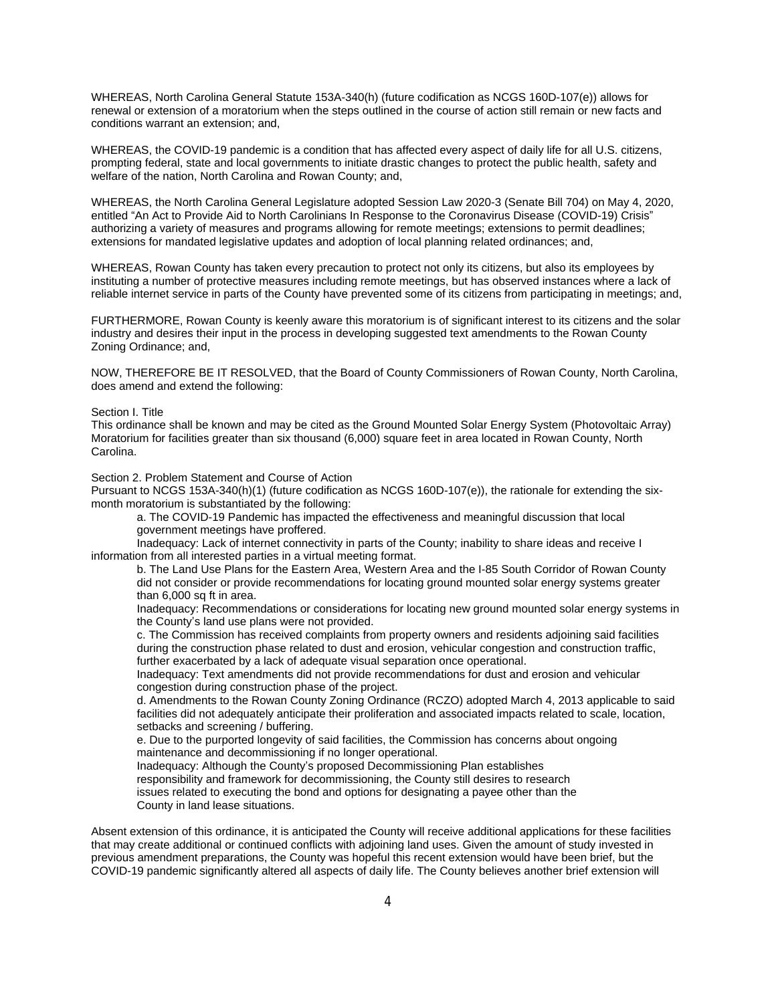WHEREAS, North Carolina General Statute 153A-340(h) (future codification as NCGS 160D-107(e)) allows for renewal or extension of a moratorium when the steps outlined in the course of action still remain or new facts and conditions warrant an extension; and,

WHEREAS, the COVID-19 pandemic is a condition that has affected every aspect of daily life for all U.S. citizens, prompting federal, state and local governments to initiate drastic changes to protect the public health, safety and welfare of the nation, North Carolina and Rowan County; and,

WHEREAS, the North Carolina General Legislature adopted Session Law 2020-3 (Senate Bill 704) on May 4, 2020, entitled "An Act to Provide Aid to North Carolinians In Response to the Coronavirus Disease (COVID-19) Crisis" authorizing a variety of measures and programs allowing for remote meetings; extensions to permit deadlines; extensions for mandated legislative updates and adoption of local planning related ordinances; and,

WHEREAS, Rowan County has taken every precaution to protect not only its citizens, but also its employees by instituting a number of protective measures including remote meetings, but has observed instances where a lack of reliable internet service in parts of the County have prevented some of its citizens from participating in meetings; and,

FURTHERMORE, Rowan County is keenly aware this moratorium is of significant interest to its citizens and the solar industry and desires their input in the process in developing suggested text amendments to the Rowan County Zoning Ordinance; and,

NOW, THEREFORE BE IT RESOLVED, that the Board of County Commissioners of Rowan County, North Carolina, does amend and extend the following:

#### Section I. Title

This ordinance shall be known and may be cited as the Ground Mounted Solar Energy System (Photovoltaic Array) Moratorium for facilities greater than six thousand (6,000) square feet in area located in Rowan County, North Carolina.

Section 2. Problem Statement and Course of Action

Pursuant to NCGS 153A-340(h)(1) (future codification as NCGS 160D-107(e)), the rationale for extending the sixmonth moratorium is substantiated by the following:

a. The COVID-19 Pandemic has impacted the effectiveness and meaningful discussion that local government meetings have proffered.

Inadequacy: Lack of internet connectivity in parts of the County; inability to share ideas and receive I information from all interested parties in a virtual meeting format.

b. The Land Use Plans for the Eastern Area, Western Area and the I-85 South Corridor of Rowan County did not consider or provide recommendations for locating ground mounted solar energy systems greater than 6,000 sq ft in area.

Inadequacy: Recommendations or considerations for locating new ground mounted solar energy systems in the County's land use plans were not provided.

c. The Commission has received complaints from property owners and residents adjoining said facilities during the construction phase related to dust and erosion, vehicular congestion and construction traffic, further exacerbated by a lack of adequate visual separation once operational.

Inadequacy: Text amendments did not provide recommendations for dust and erosion and vehicular congestion during construction phase of the project.

d. Amendments to the Rowan County Zoning Ordinance (RCZO) adopted March 4, 2013 applicable to said facilities did not adequately anticipate their proliferation and associated impacts related to scale, location, setbacks and screening / buffering.

e. Due to the purported longevity of said facilities, the Commission has concerns about ongoing maintenance and decommissioning if no longer operational.

Inadequacy: Although the County's proposed Decommissioning Plan establishes

responsibility and framework for decommissioning, the County still desires to research

issues related to executing the bond and options for designating a payee other than the County in land lease situations.

Absent extension of this ordinance, it is anticipated the County will receive additional applications for these facilities that may create additional or continued conflicts with adjoining land uses. Given the amount of study invested in previous amendment preparations, the County was hopeful this recent extension would have been brief, but the COVID-19 pandemic significantly altered all aspects of daily life. The County believes another brief extension will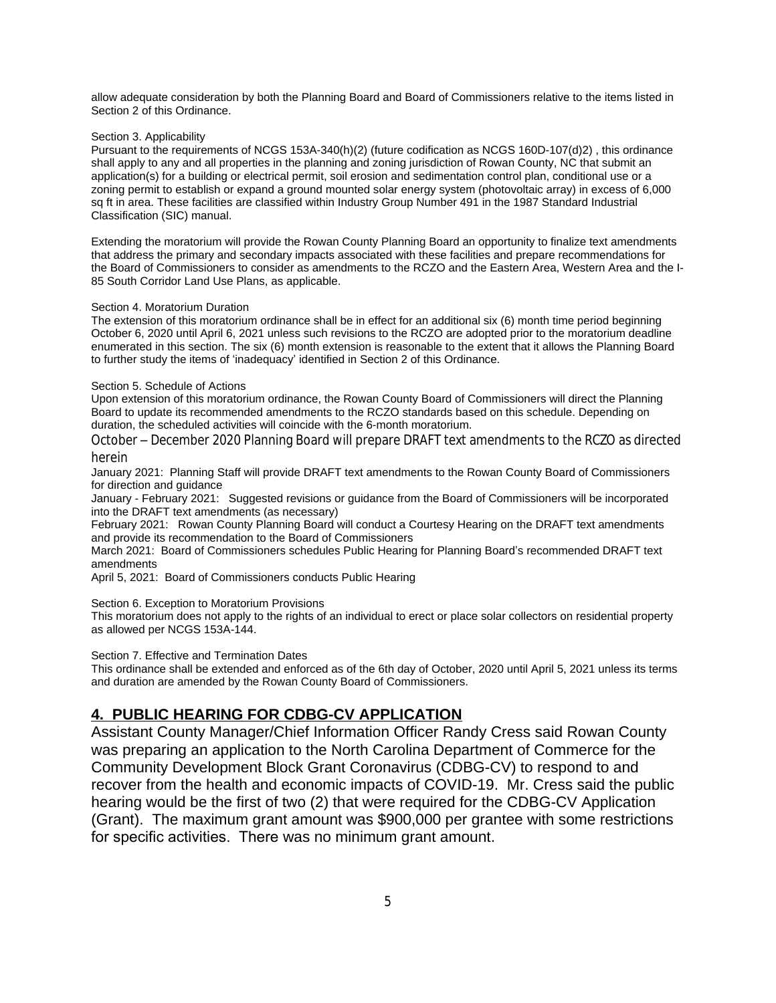allow adequate consideration by both the Planning Board and Board of Commissioners relative to the items listed in Section 2 of this Ordinance.

#### Section 3. Applicability

Pursuant to the requirements of NCGS 153A-340(h)(2) (future codification as NCGS 160D-107(d)2) , this ordinance shall apply to any and all properties in the planning and zoning jurisdiction of Rowan County, NC that submit an application(s) for a building or electrical permit, soil erosion and sedimentation control plan, conditional use or a zoning permit to establish or expand a ground mounted solar energy system (photovoltaic array) in excess of 6,000 sq ft in area. These facilities are classified within Industry Group Number 491 in the 1987 Standard Industrial Classification (SIC) manual.

Extending the moratorium will provide the Rowan County Planning Board an opportunity to finalize text amendments that address the primary and secondary impacts associated with these facilities and prepare recommendations for the Board of Commissioners to consider as amendments to the RCZO and the Eastern Area, Western Area and the I-85 South Corridor Land Use Plans, as applicable.

#### Section 4. Moratorium Duration

The extension of this moratorium ordinance shall be in effect for an additional six (6) month time period beginning October 6, 2020 until April 6, 2021 unless such revisions to the RCZO are adopted prior to the moratorium deadline enumerated in this section. The six (6) month extension is reasonable to the extent that it allows the Planning Board to further study the items of 'inadequacy' identified in Section 2 of this Ordinance.

#### Section 5. Schedule of Actions

Upon extension of this moratorium ordinance, the Rowan County Board of Commissioners will direct the Planning Board to update its recommended amendments to the RCZO standards based on this schedule. Depending on duration, the scheduled activities will coincide with the 6-month moratorium.

October – December 2020 Planning Board will prepare DRAFT text amendments to the RCZO as directed herein

January 2021: Planning Staff will provide DRAFT text amendments to the Rowan County Board of Commissioners for direction and guidance

January - February 2021: Suggested revisions or guidance from the Board of Commissioners will be incorporated into the DRAFT text amendments (as necessary)

February 2021: Rowan County Planning Board will conduct a Courtesy Hearing on the DRAFT text amendments and provide its recommendation to the Board of Commissioners

March 2021: Board of Commissioners schedules Public Hearing for Planning Board's recommended DRAFT text amendments

April 5, 2021: Board of Commissioners conducts Public Hearing

Section 6. Exception to Moratorium Provisions

This moratorium does not apply to the rights of an individual to erect or place solar collectors on residential property as allowed per NCGS 153A-144.

Section 7. Effective and Termination Dates

This ordinance shall be extended and enforced as of the 6th day of October, 2020 until April 5, 2021 unless its terms and duration are amended by the Rowan County Board of Commissioners.

#### **4. PUBLIC HEARING FOR CDBG-CV APPLICATION**

Assistant County Manager/Chief Information Officer Randy Cress said Rowan County was preparing an application to the North Carolina Department of Commerce for the Community Development Block Grant Coronavirus (CDBG-CV) to respond to and recover from the health and economic impacts of COVID-19. Mr. Cress said the public hearing would be the first of two (2) that were required for the CDBG-CV Application (Grant). The maximum grant amount was \$900,000 per grantee with some restrictions for specific activities. There was no minimum grant amount.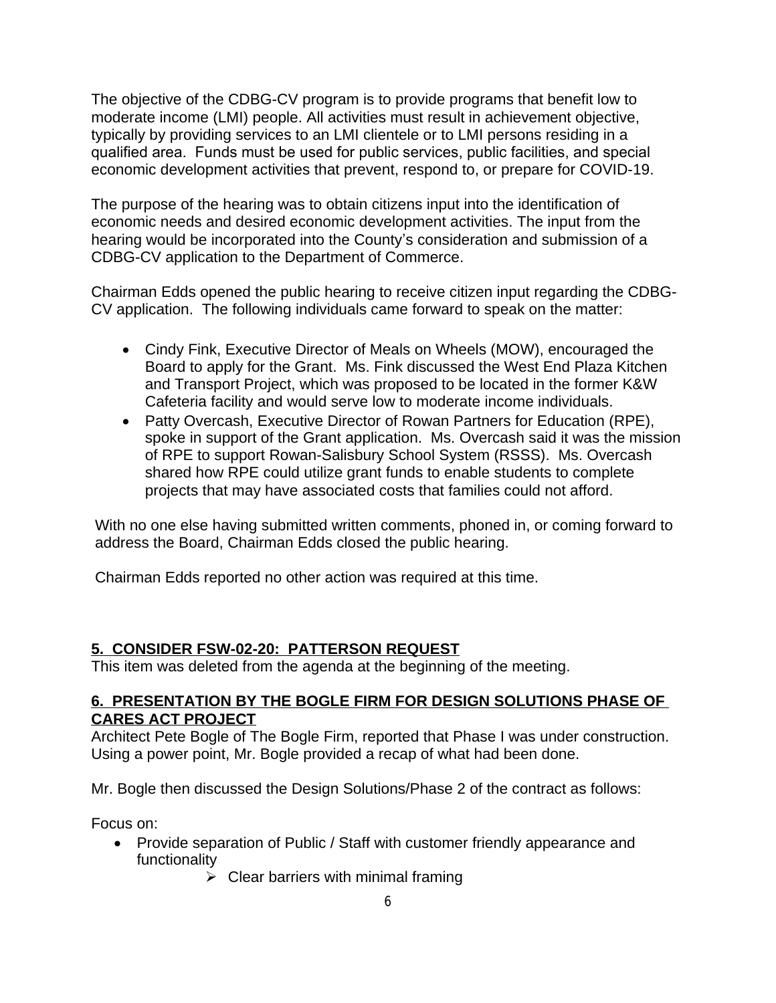The objective of the CDBG-CV program is to provide programs that benefit low to moderate income (LMI) people. All activities must result in achievement objective, typically by providing services to an LMI clientele or to LMI persons residing in a qualified area. Funds must be used for public services, public facilities, and special economic development activities that prevent, respond to, or prepare for COVID-19.

The purpose of the hearing was to obtain citizens input into the identification of economic needs and desired economic development activities. The input from the hearing would be incorporated into the County's consideration and submission of a CDBG-CV application to the Department of Commerce.

Chairman Edds opened the public hearing to receive citizen input regarding the CDBG-CV application. The following individuals came forward to speak on the matter:

- Cindy Fink, Executive Director of Meals on Wheels (MOW), encouraged the Board to apply for the Grant. Ms. Fink discussed the West End Plaza Kitchen and Transport Project, which was proposed to be located in the former K&W Cafeteria facility and would serve low to moderate income individuals.
- Patty Overcash, Executive Director of Rowan Partners for Education (RPE), spoke in support of the Grant application. Ms. Overcash said it was the mission of RPE to support Rowan-Salisbury School System (RSSS). Ms. Overcash shared how RPE could utilize grant funds to enable students to complete projects that may have associated costs that families could not afford.

With no one else having submitted written comments, phoned in, or coming forward to address the Board, Chairman Edds closed the public hearing.

Chairman Edds reported no other action was required at this time.

## **5. CONSIDER FSW-02-20: PATTERSON REQUEST**

This item was deleted from the agenda at the beginning of the meeting.

## **6. PRESENTATION BY THE BOGLE FIRM FOR DESIGN SOLUTIONS PHASE OF CARES ACT PROJECT**

Architect Pete Bogle of The Bogle Firm, reported that Phase I was under construction. Using a power point, Mr. Bogle provided a recap of what had been done.

Mr. Bogle then discussed the Design Solutions/Phase 2 of the contract as follows:

Focus on:

- Provide separation of Public / Staff with customer friendly appearance and functionality
	- $\triangleright$  Clear barriers with minimal framing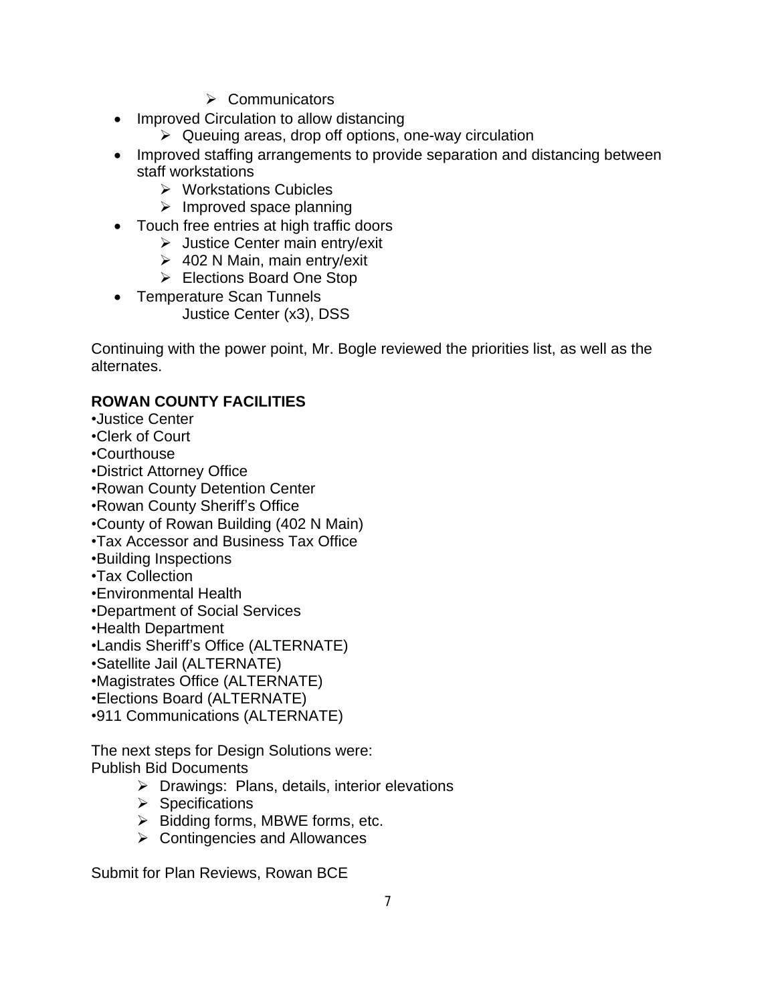- $\triangleright$  Communicators
- Improved Circulation to allow distancing
	- $\triangleright$  Queuing areas, drop off options, one-way circulation
- Improved staffing arrangements to provide separation and distancing between staff workstations
	- $\triangleright$  Workstations Cubicles
	- $\triangleright$  Improved space planning
- Touch free entries at high traffic doors
	- Justice Center main entry/exit
	- $\geq 402$  N Main, main entry/exit
	- Elections Board One Stop
- Temperature Scan Tunnels Justice Center (x3), DSS

Continuing with the power point, Mr. Bogle reviewed the priorities list, as well as the alternates.

# **ROWAN COUNTY FACILITIES**

- •Justice Center
- •Clerk of Court
- •Courthouse
- •District Attorney Office
- •Rowan County Detention Center
- •Rowan County Sheriff's Office
- •County of Rowan Building (402 N Main)
- •Tax Accessor and Business Tax Office
- •Building Inspections
- •Tax Collection
- •Environmental Health
- •Department of Social Services
- •Health Department
- •Landis Sheriff's Office (ALTERNATE)
- •Satellite Jail (ALTERNATE)
- •Magistrates Office (ALTERNATE)
- •Elections Board (ALTERNATE)
- •911 Communications (ALTERNATE)

The next steps for Design Solutions were: Publish Bid Documents

- $\triangleright$  Drawings: Plans, details, interior elevations
- $\triangleright$  Specifications
- $\triangleright$  Bidding forms, MBWE forms, etc.
- $\triangleright$  Contingencies and Allowances

Submit for Plan Reviews, Rowan BCE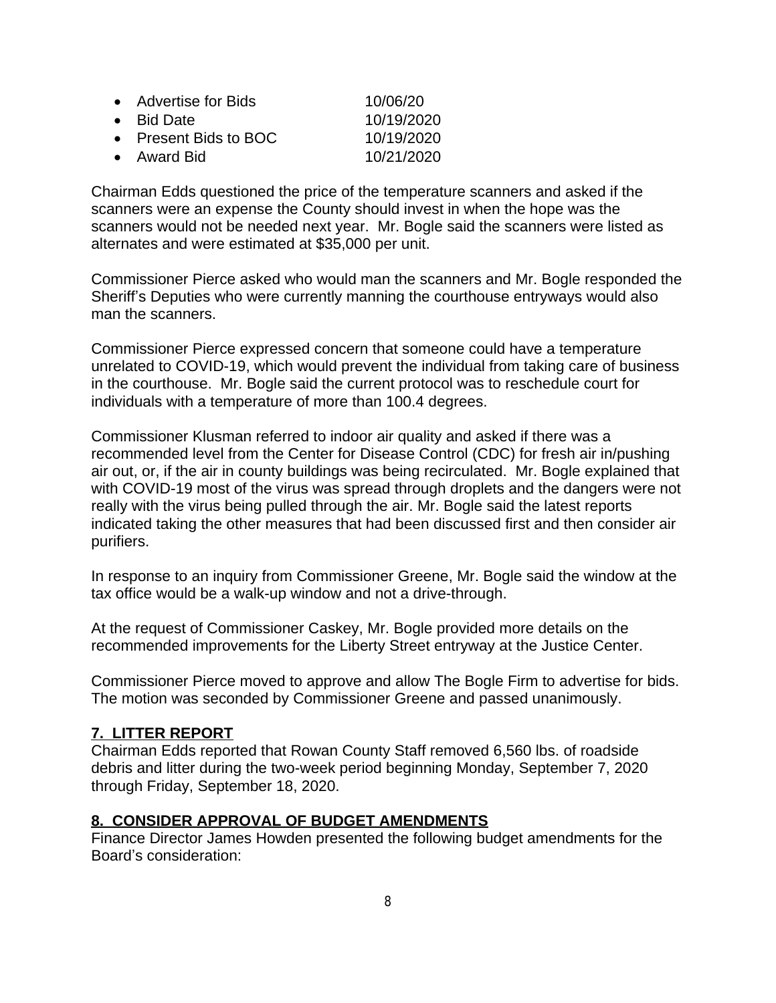| • Advertise for Bids  | 10/06/20   |
|-----------------------|------------|
| • Bid Date            | 10/19/2020 |
| • Present Bids to BOC | 10/19/2020 |
| • Award Bid           | 10/21/2020 |

Chairman Edds questioned the price of the temperature scanners and asked if the scanners were an expense the County should invest in when the hope was the scanners would not be needed next year. Mr. Bogle said the scanners were listed as alternates and were estimated at \$35,000 per unit.

Commissioner Pierce asked who would man the scanners and Mr. Bogle responded the Sheriff's Deputies who were currently manning the courthouse entryways would also man the scanners.

Commissioner Pierce expressed concern that someone could have a temperature unrelated to COVID-19, which would prevent the individual from taking care of business in the courthouse. Mr. Bogle said the current protocol was to reschedule court for individuals with a temperature of more than 100.4 degrees.

Commissioner Klusman referred to indoor air quality and asked if there was a recommended level from the Center for Disease Control (CDC) for fresh air in/pushing air out, or, if the air in county buildings was being recirculated. Mr. Bogle explained that with COVID-19 most of the virus was spread through droplets and the dangers were not really with the virus being pulled through the air. Mr. Bogle said the latest reports indicated taking the other measures that had been discussed first and then consider air purifiers.

In response to an inquiry from Commissioner Greene, Mr. Bogle said the window at the tax office would be a walk-up window and not a drive-through.

At the request of Commissioner Caskey, Mr. Bogle provided more details on the recommended improvements for the Liberty Street entryway at the Justice Center.

Commissioner Pierce moved to approve and allow The Bogle Firm to advertise for bids. The motion was seconded by Commissioner Greene and passed unanimously.

## **7. LITTER REPORT**

Chairman Edds reported that Rowan County Staff removed 6,560 lbs. of roadside debris and litter during the two-week period beginning Monday, September 7, 2020 through Friday, September 18, 2020.

#### **8. CONSIDER APPROVAL OF BUDGET AMENDMENTS**

Finance Director James Howden presented the following budget amendments for the Board's consideration: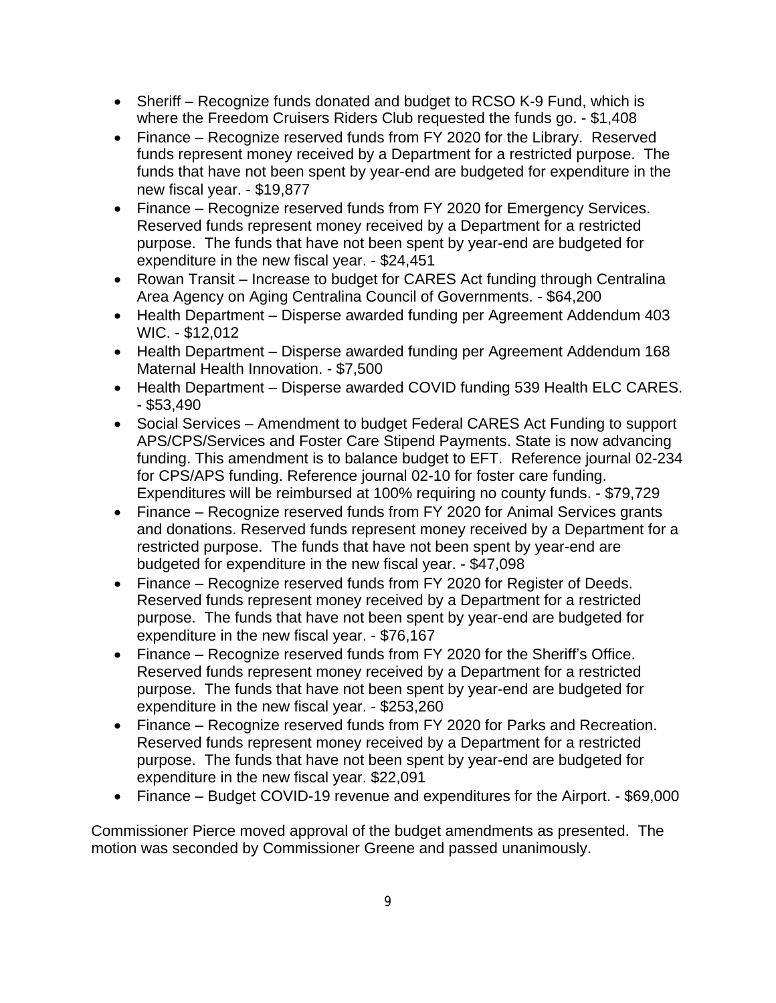- Sheriff Recognize funds donated and budget to RCSO K-9 Fund, which is where the Freedom Cruisers Riders Club requested the funds go. - \$1,408
- Finance Recognize reserved funds from FY 2020 for the Library. Reserved funds represent money received by a Department for a restricted purpose. The funds that have not been spent by year-end are budgeted for expenditure in the new fiscal year. - \$19,877
- Finance Recognize reserved funds from FY 2020 for Emergency Services. Reserved funds represent money received by a Department for a restricted purpose. The funds that have not been spent by year-end are budgeted for expenditure in the new fiscal year. - \$24,451
- Rowan Transit Increase to budget for CARES Act funding through Centralina Area Agency on Aging Centralina Council of Governments. - \$64,200
- Health Department Disperse awarded funding per Agreement Addendum 403 WIC. - \$12,012
- Health Department Disperse awarded funding per Agreement Addendum 168 Maternal Health Innovation. - \$7,500
- Health Department Disperse awarded COVID funding 539 Health ELC CARES. - \$53,490
- Social Services Amendment to budget Federal CARES Act Funding to support APS/CPS/Services and Foster Care Stipend Payments. State is now advancing funding. This amendment is to balance budget to EFT. Reference journal 02-234 for CPS/APS funding. Reference journal 02-10 for foster care funding. Expenditures will be reimbursed at 100% requiring no county funds. - \$79,729
- Finance Recognize reserved funds from FY 2020 for Animal Services grants and donations. Reserved funds represent money received by a Department for a restricted purpose. The funds that have not been spent by year-end are budgeted for expenditure in the new fiscal year. - \$47,098
- Finance Recognize reserved funds from FY 2020 for Register of Deeds. Reserved funds represent money received by a Department for a restricted purpose. The funds that have not been spent by year-end are budgeted for expenditure in the new fiscal year. - \$76,167
- Finance Recognize reserved funds from FY 2020 for the Sheriff's Office. Reserved funds represent money received by a Department for a restricted purpose. The funds that have not been spent by year-end are budgeted for expenditure in the new fiscal year. - \$253,260
- Finance Recognize reserved funds from FY 2020 for Parks and Recreation. Reserved funds represent money received by a Department for a restricted purpose. The funds that have not been spent by year-end are budgeted for expenditure in the new fiscal year. \$22,091
- Finance Budget COVID-19 revenue and expenditures for the Airport. \$69,000

Commissioner Pierce moved approval of the budget amendments as presented. The motion was seconded by Commissioner Greene and passed unanimously.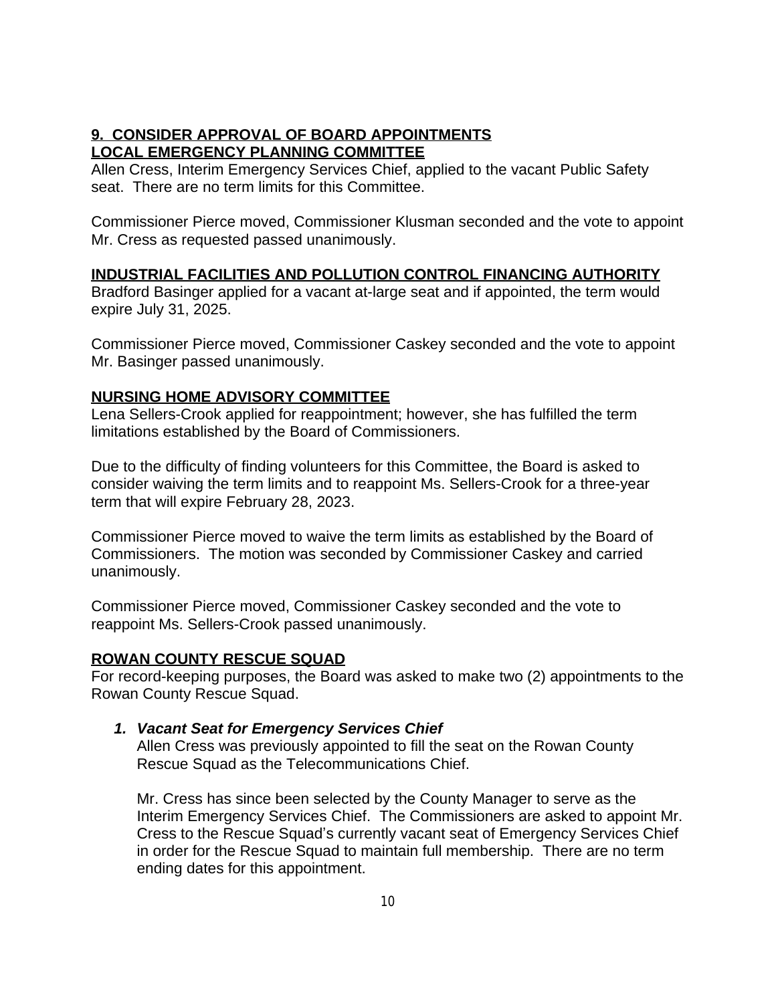## **9. CONSIDER APPROVAL OF BOARD APPOINTMENTS LOCAL EMERGENCY PLANNING COMMITTEE**

Allen Cress, Interim Emergency Services Chief, applied to the vacant Public Safety seat. There are no term limits for this Committee.

Commissioner Pierce moved, Commissioner Klusman seconded and the vote to appoint Mr. Cress as requested passed unanimously.

# **INDUSTRIAL FACILITIES AND POLLUTION CONTROL FINANCING AUTHORITY**

Bradford Basinger applied for a vacant at-large seat and if appointed, the term would expire July 31, 2025.

Commissioner Pierce moved, Commissioner Caskey seconded and the vote to appoint Mr. Basinger passed unanimously.

## **NURSING HOME ADVISORY COMMITTEE**

Lena Sellers-Crook applied for reappointment; however, she has fulfilled the term limitations established by the Board of Commissioners.

Due to the difficulty of finding volunteers for this Committee, the Board is asked to consider waiving the term limits and to reappoint Ms. Sellers-Crook for a three-year term that will expire February 28, 2023.

Commissioner Pierce moved to waive the term limits as established by the Board of Commissioners. The motion was seconded by Commissioner Caskey and carried unanimously.

Commissioner Pierce moved, Commissioner Caskey seconded and the vote to reappoint Ms. Sellers-Crook passed unanimously.

## **ROWAN COUNTY RESCUE SQUAD**

For record-keeping purposes, the Board was asked to make two (2) appointments to the Rowan County Rescue Squad.

## *1. Vacant Seat for Emergency Services Chief*

Allen Cress was previously appointed to fill the seat on the Rowan County Rescue Squad as the Telecommunications Chief.

Mr. Cress has since been selected by the County Manager to serve as the Interim Emergency Services Chief. The Commissioners are asked to appoint Mr. Cress to the Rescue Squad's currently vacant seat of Emergency Services Chief in order for the Rescue Squad to maintain full membership. There are no term ending dates for this appointment.